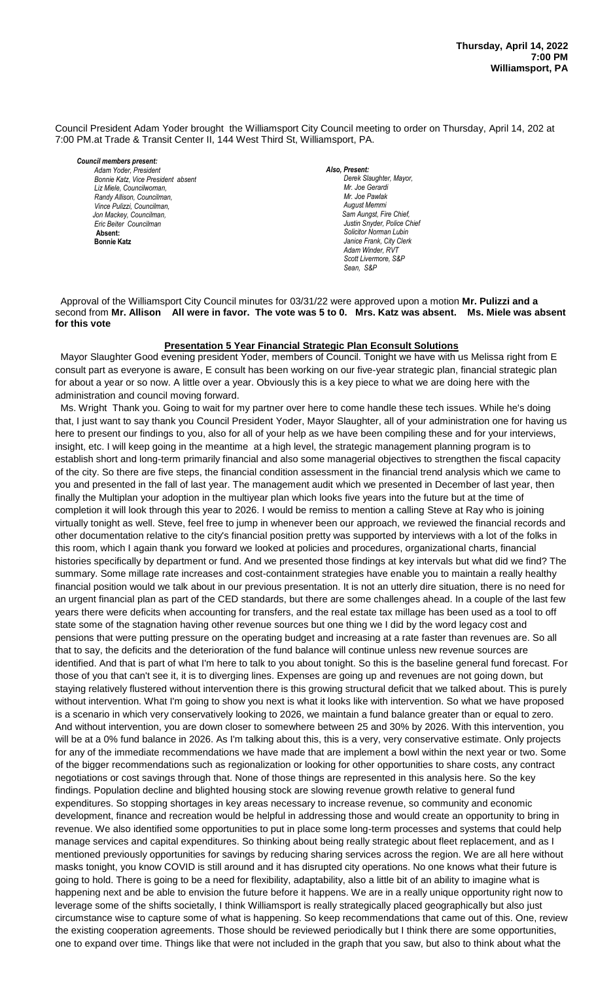Council President Adam Yoder brought the Williamsport City Council meeting to order on Thursday, April 14, 202 at 7:00 PM.at Trade & Transit Center II, 144 West Third St, Williamsport, PA.

*Council members present: Adam Yoder, President , President Bonnie Katz, Vice President absent Bill Hall, Councilman Liz Miele, Councilwoman, Randy Allison, Councilman, Vince Pulizzi, Councilman, Jon Mackey, Councilman, Eric Beiter Councilman*  **Absent: Bonnie Katz**

*Also, Present:*  **Derek Slaughter, Mayor,** *Mr. Joe Gerardi Mr. Joseph Pawlak Mr. Joe Pawlak August Memmi* **Sam Aungst, Fire Chief,** Justin Snyder, Police Chief *Solicitor Norman Lubin Janice Frank, City Clerk Adam Winder, RVT Scott Livermore, S&P Sean, S&P* 

 Approval of the Williamsport City Council minutes for 03/31/22 were approved upon a motion **Mr. Pulizzi and a** second from **Mr. Allison All were in favor. The vote was 5 to 0. Mrs. Katz was absent. Ms. Miele was absent for this vote**

### **Presentation 5 Year Financial Strategic Plan Econsult Solutions**

 Mayor Slaughter Good evening president Yoder, members of Council. Tonight we have with us Melissa right from E *Mr. Joseph Pawlak*  consult part as everyone is aware, E consult has been working on our five-year strategic plan, financial strategic plan *.*  for about a year or so now. A little over a year. Obviously this is a key piece to what we are doing here with the *Mr. Joe Pawlak* administration and council moving forward.

**MS. Wright Thank you. Going to wait for my partner over here to come handle these tech issues. While he's doing MS. Wright Thank you. Going to wait for my partner over here to come handle these tech issues. While he's doi** that, I just want to say thank you Council President Yoder, Mayor Slaughter, all of your administration one for having us  *Sol. J. David Smith* here to present our findings to you, also for all of your help as we have been compiling these and for your interviews, insight, etc. I will keep going in the meantime at a high level, the strategic management planning program is to establish short and long-term primarily financial and also some managerial objectives to strengthen the fiscal capacity of the city. So there are five steps, the financial condition assessment in the financial trend analysis which we came to you and presented in the fall of last year. The management audit which we presented in December of last year, then finally the Multiplan your adoption in the multiyear plan which looks five years into the future but at the time of completion it will look through this year to 2026. I would be remiss to mention a calling Steve at Ray who is joining *Members of News Media* virtually tonight as well. Steve, feel free to jump in whenever been our approach, we reviewed the financial records and other documentation relative to the city's financial position pretty was supported by interviews with a lot of the folks in this room, which I again thank you forward we looked at policies and procedures, organizational charts, financial histories specifically by department or fund. And we presented those findings at key intervals but what did we find? The summary. Some millage rate increases and cost-containment strategies have enable you to maintain a really healthy financial position would we talk about in our previous presentation. It is not an utterly dire situation, there is no need for an urgent financial plan as part of the CED standards, but there are some challenges ahead. In a couple of the last few years there were deficits when accounting for transfers, and the real estate tax millage has been used as a tool to off state some of the stagnation having other revenue sources but one thing we I did by the word legacy cost and pensions that were putting pressure on the operating budget and increasing at a rate faster than revenues are. So all that to say, the deficits and the deterioration of the fund balance will continue unless new revenue sources are identified. And that is part of what I'm here to talk to you about tonight. So this is the baseline general fund forecast. For those of you that can't see it, it is to diverging lines. Expenses are going up and revenues are not going down, but staying relatively flustered without intervention there is this growing structural deficit that we talked about. This is purely without intervention. What I'm going to show you next is what it looks like with intervention. So what we have proposed is a scenario in which very conservatively looking to 2026, we maintain a fund balance greater than or equal to zero. And without intervention, you are down closer to somewhere between 25 and 30% by 2026. With this intervention, you will be at a 0% fund balance in 2026. As I'm talking about this, this is a very, very conservative estimate. Only projects for any of the immediate recommendations we have made that are implement a bowl within the next year or two. Some of the bigger recommendations such as regionalization or looking for other opportunities to share costs, any contract negotiations or cost savings through that. None of those things are represented in this analysis here. So the key findings. Population decline and blighted housing stock are slowing revenue growth relative to general fund expenditures. So stopping shortages in key areas necessary to increase revenue, so community and economic development, finance and recreation would be helpful in addressing those and would create an opportunity to bring in revenue. We also identified some opportunities to put in place some long-term processes and systems that could help manage services and capital expenditures. So thinking about being really strategic about fleet replacement, and as I mentioned previously opportunities for savings by reducing sharing services across the region. We are all here without masks tonight, you know COVID is still around and it has disrupted city operations. No one knows what their future is going to hold. There is going to be a need for flexibility, adaptability, also a little bit of an ability to imagine what is happening next and be able to envision the future before it happens. We are in a really unique opportunity right now to leverage some of the shifts societally, I think Williamsport is really strategically placed geographically but also just circumstance wise to capture some of what is happening. So keep recommendations that came out of this. One, review the existing cooperation agreements. Those should be reviewed periodically but I think there are some opportunities, one to expand over time. Things like that were not included in the graph that you saw, but also to think about what the *Dave Young, Police Chief Chief Heinbach absent* to present our imaings to you, also for all or your help as we have been complimity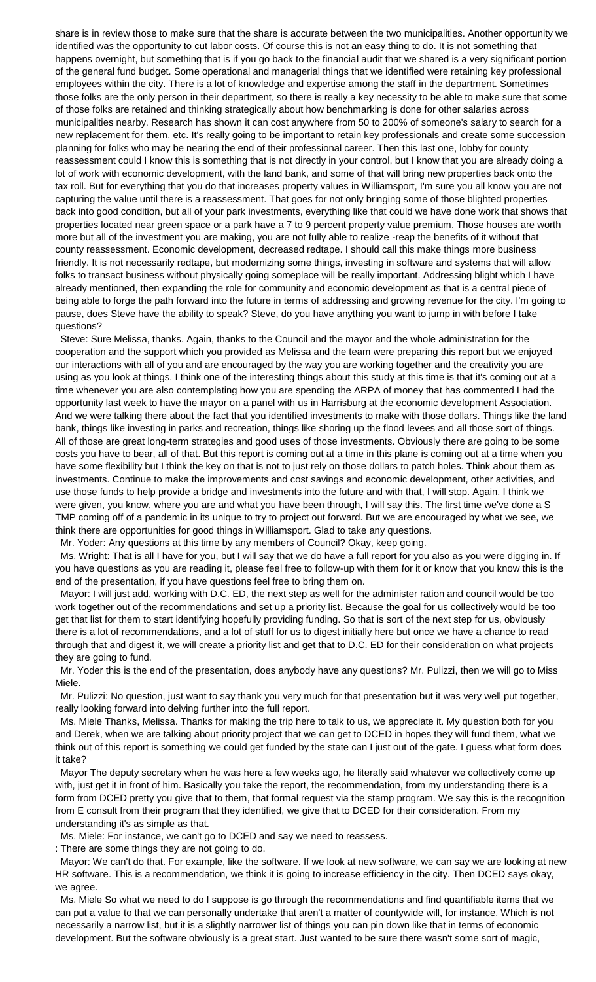share is in review those to make sure that the share is accurate between the two municipalities. Another opportunity we identified was the opportunity to cut labor costs. Of course this is not an easy thing to do. It is not something that happens overnight, but something that is if you go back to the financial audit that we shared is a very significant portion of the general fund budget. Some operational and managerial things that we identified were retaining key professional employees within the city. There is a lot of knowledge and expertise among the staff in the department. Sometimes those folks are the only person in their department, so there is really a key necessity to be able to make sure that some of those folks are retained and thinking strategically about how benchmarking is done for other salaries across municipalities nearby. Research has shown it can cost anywhere from 50 to 200% of someone's salary to search for a new replacement for them, etc. It's really going to be important to retain key professionals and create some succession planning for folks who may be nearing the end of their professional career. Then this last one, lobby for county reassessment could I know this is something that is not directly in your control, but I know that you are already doing a lot of work with economic development, with the land bank, and some of that will bring new properties back onto the tax roll. But for everything that you do that increases property values in Williamsport, I'm sure you all know you are not capturing the value until there is a reassessment. That goes for not only bringing some of those blighted properties back into good condition, but all of your park investments, everything like that could we have done work that shows that properties located near green space or a park have a 7 to 9 percent property value premium. Those houses are worth more but all of the investment you are making, you are not fully able to realize -reap the benefits of it without that county reassessment. Economic development, decreased redtape. I should call this make things more business friendly. It is not necessarily redtape, but modernizing some things, investing in software and systems that will allow folks to transact business without physically going someplace will be really important. Addressing blight which I have already mentioned, then expanding the role for community and economic development as that is a central piece of being able to forge the path forward into the future in terms of addressing and growing revenue for the city. I'm going to pause, does Steve have the ability to speak? Steve, do you have anything you want to jump in with before I take questions?

 Steve: Sure Melissa, thanks. Again, thanks to the Council and the mayor and the whole administration for the cooperation and the support which you provided as Melissa and the team were preparing this report but we enjoyed our interactions with all of you and are encouraged by the way you are working together and the creativity you are using as you look at things. I think one of the interesting things about this study at this time is that it's coming out at a time whenever you are also contemplating how you are spending the ARPA of money that has commented I had the opportunity last week to have the mayor on a panel with us in Harrisburg at the economic development Association. And we were talking there about the fact that you identified investments to make with those dollars. Things like the land bank, things like investing in parks and recreation, things like shoring up the flood levees and all those sort of things. All of those are great long-term strategies and good uses of those investments. Obviously there are going to be some costs you have to bear, all of that. But this report is coming out at a time in this plane is coming out at a time when you have some flexibility but I think the key on that is not to just rely on those dollars to patch holes. Think about them as investments. Continue to make the improvements and cost savings and economic development, other activities, and use those funds to help provide a bridge and investments into the future and with that, I will stop. Again, I think we were given, you know, where you are and what you have been through, I will say this. The first time we've done a S TMP coming off of a pandemic in its unique to try to project out forward. But we are encouraged by what we see, we think there are opportunities for good things in Williamsport. Glad to take any questions.

Mr. Yoder: Any questions at this time by any members of Council? Okay, keep going.

 Ms. Wright: That is all I have for you, but I will say that we do have a full report for you also as you were digging in. If you have questions as you are reading it, please feel free to follow-up with them for it or know that you know this is the end of the presentation, if you have questions feel free to bring them on.

 Mayor: I will just add, working with D.C. ED, the next step as well for the administer ration and council would be too work together out of the recommendations and set up a priority list. Because the goal for us collectively would be too get that list for them to start identifying hopefully providing funding. So that is sort of the next step for us, obviously there is a lot of recommendations, and a lot of stuff for us to digest initially here but once we have a chance to read through that and digest it, we will create a priority list and get that to D.C. ED for their consideration on what projects they are going to fund.

 Mr. Yoder this is the end of the presentation, does anybody have any questions? Mr. Pulizzi, then we will go to Miss Miele.

 Mr. Pulizzi: No question, just want to say thank you very much for that presentation but it was very well put together, really looking forward into delving further into the full report.

 Ms. Miele Thanks, Melissa. Thanks for making the trip here to talk to us, we appreciate it. My question both for you and Derek, when we are talking about priority project that we can get to DCED in hopes they will fund them, what we think out of this report is something we could get funded by the state can I just out of the gate. I guess what form does it take?

 Mayor The deputy secretary when he was here a few weeks ago, he literally said whatever we collectively come up with, just get it in front of him. Basically you take the report, the recommendation, from my understanding there is a form from DCED pretty you give that to them, that formal request via the stamp program. We say this is the recognition from E consult from their program that they identified, we give that to DCED for their consideration. From my understanding it's as simple as that.

Ms. Miele: For instance, we can't go to DCED and say we need to reassess.

: There are some things they are not going to do.

 Mayor: We can't do that. For example, like the software. If we look at new software, we can say we are looking at new HR software. This is a recommendation, we think it is going to increase efficiency in the city. Then DCED says okay, we agree.

 Ms. Miele So what we need to do I suppose is go through the recommendations and find quantifiable items that we can put a value to that we can personally undertake that aren't a matter of countywide will, for instance. Which is not necessarily a narrow list, but it is a slightly narrower list of things you can pin down like that in terms of economic development. But the software obviously is a great start. Just wanted to be sure there wasn't some sort of magic,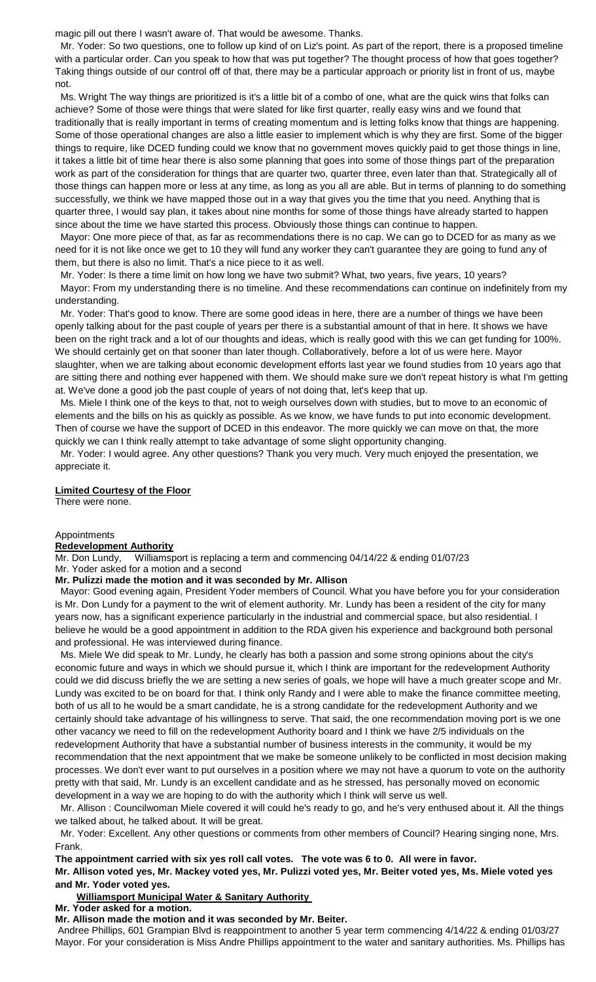magic pill out there I wasn't aware of. That would be awesome. Thanks.

 Mr. Yoder: So two questions, one to follow up kind of on Liz's point. As part of the report, there is a proposed timeline with a particular order. Can you speak to how that was put together? The thought process of how that goes together? Taking things outside of our control off of that, there may be a particular approach or priority list in front of us, maybe not.

 Ms. Wright The way things are prioritized is it's a little bit of a combo of one, what are the quick wins that folks can achieve? Some of those were things that were slated for like first quarter, really easy wins and we found that traditionally that is really important in terms of creating momentum and is letting folks know that things are happening. Some of those operational changes are also a little easier to implement which is why they are first. Some of the bigger things to require, like DCED funding could we know that no government moves quickly paid to get those things in line, it takes a little bit of time hear there is also some planning that goes into some of those things part of the preparation work as part of the consideration for things that are quarter two, quarter three, even later than that. Strategically all of those things can happen more or less at any time, as long as you all are able. But in terms of planning to do something successfully, we think we have mapped those out in a way that gives you the time that you need. Anything that is quarter three, I would say plan, it takes about nine months for some of those things have already started to happen since about the time we have started this process. Obviously those things can continue to happen.

 Mayor: One more piece of that, as far as recommendations there is no cap. We can go to DCED for as many as we need for it is not like once we get to 10 they will fund any worker they can't guarantee they are going to fund any of them, but there is also no limit. That's a nice piece to it as well.

 Mr. Yoder: Is there a time limit on how long we have two submit? What, two years, five years, 10 years? Mayor: From my understanding there is no timeline. And these recommendations can continue on indefinitely from my understanding.

 Mr. Yoder: That's good to know. There are some good ideas in here, there are a number of things we have been openly talking about for the past couple of years per there is a substantial amount of that in here. It shows we have been on the right track and a lot of our thoughts and ideas, which is really good with this we can get funding for 100%. We should certainly get on that sooner than later though. Collaboratively, before a lot of us were here. Mayor slaughter, when we are talking about economic development efforts last year we found studies from 10 years ago that are sitting there and nothing ever happened with them. We should make sure we don't repeat history is what I'm getting at. We've done a good job the past couple of years of not doing that, let's keep that up.

 Ms. Miele I think one of the keys to that, not to weigh ourselves down with studies, but to move to an economic of elements and the bills on his as quickly as possible. As we know, we have funds to put into economic development. Then of course we have the support of DCED in this endeavor. The more quickly we can move on that, the more quickly we can I think really attempt to take advantage of some slight opportunity changing.

 Mr. Yoder: I would agree. Any other questions? Thank you very much. Very much enjoyed the presentation, we appreciate it.

### **Limited Courtesy of the Floor**

There were none.

#### Appointments

#### **Redevelopment Authority**

Mr. Don Lundy, Williamsport is replacing a term and commencing 04/14/22 & ending 01/07/23 Mr. Yoder asked for a motion and a second

#### **Mr. Pulizzi made the motion and it was seconded by Mr. Allison**

 Mayor: Good evening again, President Yoder members of Council. What you have before you for your consideration is Mr. Don Lundy for a payment to the writ of element authority. Mr. Lundy has been a resident of the city for many years now, has a significant experience particularly in the industrial and commercial space, but also residential. I believe he would be a good appointment in addition to the RDA given his experience and background both personal and professional. He was interviewed during finance.

 Ms. Miele We did speak to Mr. Lundy, he clearly has both a passion and some strong opinions about the city's economic future and ways in which we should pursue it, which I think are important for the redevelopment Authority could we did discuss briefly the we are setting a new series of goals, we hope will have a much greater scope and Mr. Lundy was excited to be on board for that. I think only Randy and I were able to make the finance committee meeting, both of us all to he would be a smart candidate, he is a strong candidate for the redevelopment Authority and we certainly should take advantage of his willingness to serve. That said, the one recommendation moving port is we one other vacancy we need to fill on the redevelopment Authority board and I think we have 2/5 individuals on the redevelopment Authority that have a substantial number of business interests in the community, it would be my recommendation that the next appointment that we make be someone unlikely to be conflicted in most decision making processes. We don't ever want to put ourselves in a position where we may not have a quorum to vote on the authority pretty with that said, Mr. Lundy is an excellent candidate and as he stressed, has personally moved on economic development in a way we are hoping to do with the authority which I think will serve us well.

 Mr. Allison : Councilwoman Miele covered it will could he's ready to go, and he's very enthused about it. All the things we talked about, he talked about. It will be great.

 Mr. Yoder: Excellent. Any other questions or comments from other members of Council? Hearing singing none, Mrs. Frank.

**The appointment carried with six yes roll call votes. The vote was 6 to 0. All were in favor.**

**Mr. Allison voted yes, Mr. Mackey voted yes, Mr. Pulizzi voted yes, Mr. Beiter voted yes, Ms. Miele voted yes and Mr. Yoder voted yes.**

# **Williamsport Municipal Water & Sanitary Authority**

**Mr. Yoder asked for a motion.**

#### **Mr. Allison made the motion and it was seconded by Mr. Beiter.**

Andree Phillips, 601 Grampian Blvd is reappointment to another 5 year term commencing 4/14/22 & ending 01/03/27 Mayor. For your consideration is Miss Andre Phillips appointment to the water and sanitary authorities. Ms. Phillips has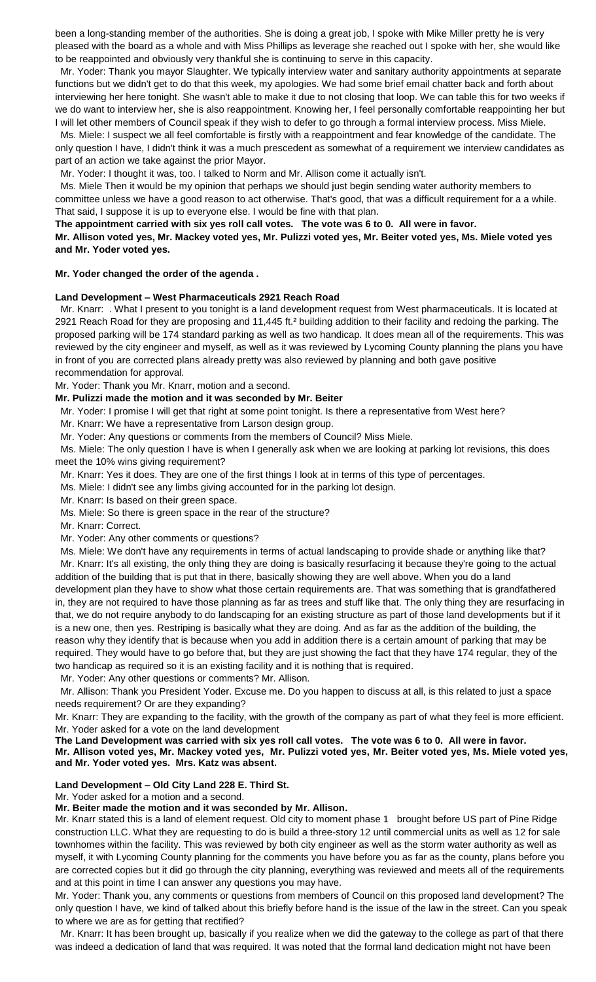been a long-standing member of the authorities. She is doing a great job, I spoke with Mike Miller pretty he is very pleased with the board as a whole and with Miss Phillips as leverage she reached out I spoke with her, she would like to be reappointed and obviously very thankful she is continuing to serve in this capacity.

 Mr. Yoder: Thank you mayor Slaughter. We typically interview water and sanitary authority appointments at separate functions but we didn't get to do that this week, my apologies. We had some brief email chatter back and forth about interviewing her here tonight. She wasn't able to make it due to not closing that loop. We can table this for two weeks if we do want to interview her, she is also reappointment. Knowing her, I feel personally comfortable reappointing her but I will let other members of Council speak if they wish to defer to go through a formal interview process. Miss Miele.

 Ms. Miele: I suspect we all feel comfortable is firstly with a reappointment and fear knowledge of the candidate. The only question I have, I didn't think it was a much prescedent as somewhat of a requirement we interview candidates as part of an action we take against the prior Mayor.

Mr. Yoder: I thought it was, too. I talked to Norm and Mr. Allison come it actually isn't.

 Ms. Miele Then it would be my opinion that perhaps we should just begin sending water authority members to committee unless we have a good reason to act otherwise. That's good, that was a difficult requirement for a a while. That said, I suppose it is up to everyone else. I would be fine with that plan.

# **The appointment carried with six yes roll call votes. The vote was 6 to 0. All were in favor.**

**Mr. Allison voted yes, Mr. Mackey voted yes, Mr. Pulizzi voted yes, Mr. Beiter voted yes, Ms. Miele voted yes and Mr. Yoder voted yes.**

# **Mr. Yoder changed the order of the agenda .**

# **Land Development – West Pharmaceuticals 2921 Reach Road**

 Mr. Knarr: . What I present to you tonight is a land development request from West pharmaceuticals. It is located at 2921 Reach Road for they are proposing and 11,445 ft.² building addition to their facility and redoing the parking. The proposed parking will be 174 standard parking as well as two handicap. It does mean all of the requirements. This was reviewed by the city engineer and myself, as well as it was reviewed by Lycoming County planning the plans you have in front of you are corrected plans already pretty was also reviewed by planning and both gave positive recommendation for approval.

Mr. Yoder: Thank you Mr. Knarr, motion and a second.

# **Mr. Pulizzi made the motion and it was seconded by Mr. Beiter**

Mr. Yoder: I promise I will get that right at some point tonight. Is there a representative from West here?

Mr. Knarr: We have a representative from Larson design group.

Mr. Yoder: Any questions or comments from the members of Council? Miss Miele.

 Ms. Miele: The only question I have is when I generally ask when we are looking at parking lot revisions, this does meet the 10% wins giving requirement?

Mr. Knarr: Yes it does. They are one of the first things I look at in terms of this type of percentages.

Ms. Miele: I didn't see any limbs giving accounted for in the parking lot design.

Mr. Knarr: Is based on their green space.

Ms. Miele: So there is green space in the rear of the structure?

Mr. Knarr: Correct.

Mr. Yoder: Any other comments or questions?

 Ms. Miele: We don't have any requirements in terms of actual landscaping to provide shade or anything like that? Mr. Knarr: It's all existing, the only thing they are doing is basically resurfacing it because they're going to the actual addition of the building that is put that in there, basically showing they are well above. When you do a land development plan they have to show what those certain requirements are. That was something that is grandfathered in, they are not required to have those planning as far as trees and stuff like that. The only thing they are resurfacing in that, we do not require anybody to do landscaping for an existing structure as part of those land developments but if it is a new one, then yes. Restriping is basically what they are doing. And as far as the addition of the building, the reason why they identify that is because when you add in addition there is a certain amount of parking that may be required. They would have to go before that, but they are just showing the fact that they have 174 regular, they of the two handicap as required so it is an existing facility and it is nothing that is required.

Mr. Yoder: Any other questions or comments? Mr. Allison.

 Mr. Allison: Thank you President Yoder. Excuse me. Do you happen to discuss at all, is this related to just a space needs requirement? Or are they expanding?

Mr. Knarr: They are expanding to the facility, with the growth of the company as part of what they feel is more efficient. Mr. Yoder asked for a vote on the land development

**The Land Development was carried with six yes roll call votes. The vote was 6 to 0. All were in favor. Mr. Allison voted yes, Mr. Mackey voted yes, Mr. Pulizzi voted yes, Mr. Beiter voted yes, Ms. Miele voted yes, and Mr. Yoder voted yes. Mrs. Katz was absent.**

### **Land Development – Old City Land 228 E. Third St.**

Mr. Yoder asked for a motion and a second.

### **Mr. Beiter made the motion and it was seconded by Mr. Allison.**

Mr. Knarr stated this is a land of element request. Old city to moment phase 1 brought before US part of Pine Ridge construction LLC. What they are requesting to do is build a three-story 12 until commercial units as well as 12 for sale townhomes within the facility. This was reviewed by both city engineer as well as the storm water authority as well as myself, it with Lycoming County planning for the comments you have before you as far as the county, plans before you are corrected copies but it did go through the city planning, everything was reviewed and meets all of the requirements and at this point in time I can answer any questions you may have.

Mr. Yoder: Thank you, any comments or questions from members of Council on this proposed land development? The only question I have, we kind of talked about this briefly before hand is the issue of the law in the street. Can you speak to where we are as for getting that rectified?

 Mr. Knarr: It has been brought up, basically if you realize when we did the gateway to the college as part of that there was indeed a dedication of land that was required. It was noted that the formal land dedication might not have been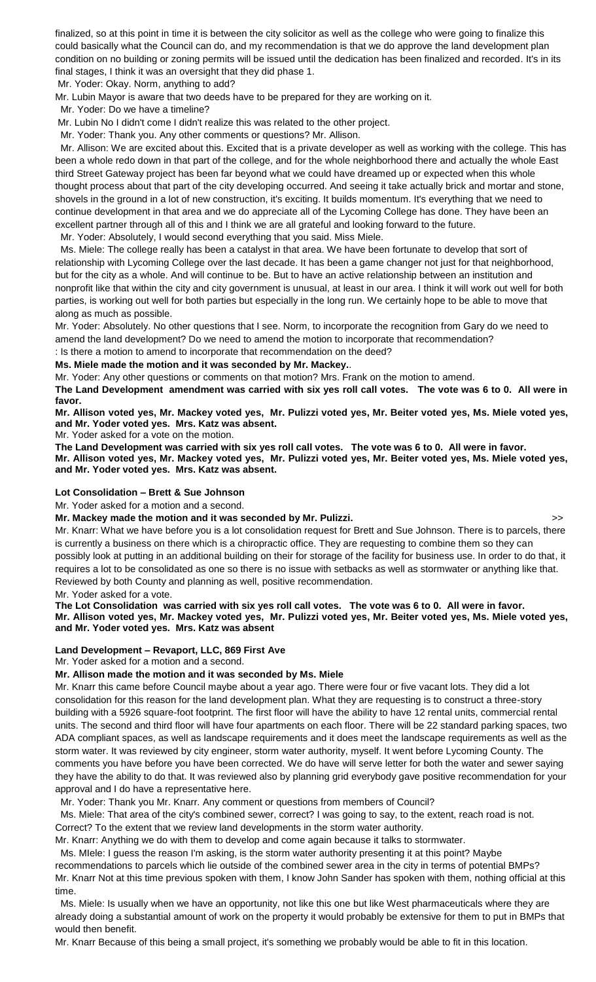finalized, so at this point in time it is between the city solicitor as well as the college who were going to finalize this could basically what the Council can do, and my recommendation is that we do approve the land development plan condition on no building or zoning permits will be issued until the dedication has been finalized and recorded. It's in its final stages, I think it was an oversight that they did phase 1.

Mr. Yoder: Okay. Norm, anything to add?

Mr. Lubin Mayor is aware that two deeds have to be prepared for they are working on it.

Mr. Yoder: Do we have a timeline?

Mr. Lubin No I didn't come I didn't realize this was related to the other project.

Mr. Yoder: Thank you. Any other comments or questions? Mr. Allison.

 Mr. Allison: We are excited about this. Excited that is a private developer as well as working with the college. This has been a whole redo down in that part of the college, and for the whole neighborhood there and actually the whole East third Street Gateway project has been far beyond what we could have dreamed up or expected when this whole thought process about that part of the city developing occurred. And seeing it take actually brick and mortar and stone, shovels in the ground in a lot of new construction, it's exciting. It builds momentum. It's everything that we need to continue development in that area and we do appreciate all of the Lycoming College has done. They have been an excellent partner through all of this and I think we are all grateful and looking forward to the future.

Mr. Yoder: Absolutely, I would second everything that you said. Miss Miele.

 Ms. Miele: The college really has been a catalyst in that area. We have been fortunate to develop that sort of relationship with Lycoming College over the last decade. It has been a game changer not just for that neighborhood, but for the city as a whole. And will continue to be. But to have an active relationship between an institution and nonprofit like that within the city and city government is unusual, at least in our area. I think it will work out well for both parties, is working out well for both parties but especially in the long run. We certainly hope to be able to move that along as much as possible.

Mr. Yoder: Absolutely. No other questions that I see. Norm, to incorporate the recognition from Gary do we need to amend the land development? Do we need to amend the motion to incorporate that recommendation?

# : Is there a motion to amend to incorporate that recommendation on the deed? **Ms. Miele made the motion and it was seconded by Mr. Mackey.**.

Mr. Yoder: Any other questions or comments on that motion? Mrs. Frank on the motion to amend.

**The Land Development amendment was carried with six yes roll call votes. The vote was 6 to 0. All were in favor.**

**Mr. Allison voted yes, Mr. Mackey voted yes, Mr. Pulizzi voted yes, Mr. Beiter voted yes, Ms. Miele voted yes, and Mr. Yoder voted yes. Mrs. Katz was absent.** 

Mr. Yoder asked for a vote on the motion.

**The Land Development was carried with six yes roll call votes. The vote was 6 to 0. All were in favor. Mr. Allison voted yes, Mr. Mackey voted yes, Mr. Pulizzi voted yes, Mr. Beiter voted yes, Ms. Miele voted yes, and Mr. Yoder voted yes. Mrs. Katz was absent.**

# **Lot Consolidation – Brett & Sue Johnson**

Mr. Yoder asked for a motion and a second.

**Mr. Mackey made the motion and it was seconded by Mr. Pulizzi.** >>

Mr. Knarr: What we have before you is a lot consolidation request for Brett and Sue Johnson. There is to parcels, there is currently a business on there which is a chiropractic office. They are requesting to combine them so they can possibly look at putting in an additional building on their for storage of the facility for business use. In order to do that, it requires a lot to be consolidated as one so there is no issue with setbacks as well as stormwater or anything like that. Reviewed by both County and planning as well, positive recommendation.

Mr. Yoder asked for a vote.

**The Lot Consolidation was carried with six yes roll call votes. The vote was 6 to 0. All were in favor. Mr. Allison voted yes, Mr. Mackey voted yes, Mr. Pulizzi voted yes, Mr. Beiter voted yes, Ms. Miele voted yes, and Mr. Yoder voted yes. Mrs. Katz was absent**

# **Land Development – Revaport, LLC, 869 First Ave**

Mr. Yoder asked for a motion and a second.

# **Mr. Allison made the motion and it was seconded by Ms. Miele**

Mr. Knarr this came before Council maybe about a year ago. There were four or five vacant lots. They did a lot consolidation for this reason for the land development plan. What they are requesting is to construct a three-story building with a 5926 square-foot footprint. The first floor will have the ability to have 12 rental units, commercial rental units. The second and third floor will have four apartments on each floor. There will be 22 standard parking spaces, two ADA compliant spaces, as well as landscape requirements and it does meet the landscape requirements as well as the storm water. It was reviewed by city engineer, storm water authority, myself. It went before Lycoming County. The comments you have before you have been corrected. We do have will serve letter for both the water and sewer saying they have the ability to do that. It was reviewed also by planning grid everybody gave positive recommendation for your approval and I do have a representative here.

Mr. Yoder: Thank you Mr. Knarr. Any comment or questions from members of Council?

 Ms. Miele: That area of the city's combined sewer, correct? I was going to say, to the extent, reach road is not. Correct? To the extent that we review land developments in the storm water authority.

Mr. Knarr: Anything we do with them to develop and come again because it talks to stormwater.

 Ms. MIele: I guess the reason I'm asking, is the storm water authority presenting it at this point? Maybe recommendations to parcels which lie outside of the combined sewer area in the city in terms of potential BMPs?

Mr. Knarr Not at this time previous spoken with them, I know John Sander has spoken with them, nothing official at this time.

 Ms. Miele: Is usually when we have an opportunity, not like this one but like West pharmaceuticals where they are already doing a substantial amount of work on the property it would probably be extensive for them to put in BMPs that would then benefit.

Mr. Knarr Because of this being a small project, it's something we probably would be able to fit in this location.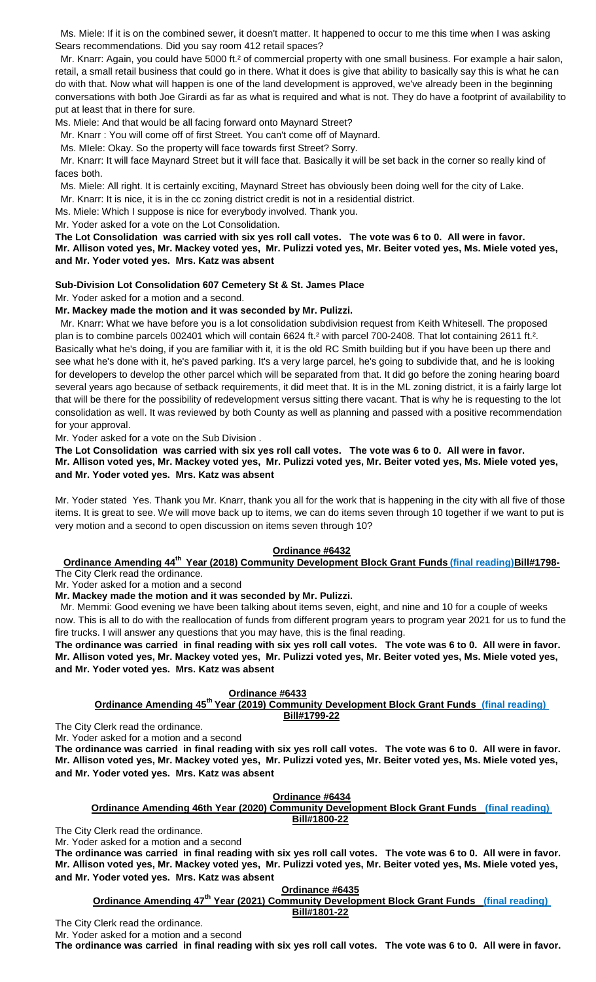Ms. Miele: If it is on the combined sewer, it doesn't matter. It happened to occur to me this time when I was asking Sears recommendations. Did you say room 412 retail spaces?

Mr. Knarr: Again, you could have 5000 ft.<sup>2</sup> of commercial property with one small business. For example a hair salon, retail, a small retail business that could go in there. What it does is give that ability to basically say this is what he can do with that. Now what will happen is one of the land development is approved, we've already been in the beginning conversations with both Joe Girardi as far as what is required and what is not. They do have a footprint of availability to put at least that in there for sure.

Ms. Miele: And that would be all facing forward onto Maynard Street?

Mr. Knarr : You will come off of first Street. You can't come off of Maynard.

Ms. MIele: Okay. So the property will face towards first Street? Sorry.

 Mr. Knarr: It will face Maynard Street but it will face that. Basically it will be set back in the corner so really kind of faces both.

Ms. Miele: All right. It is certainly exciting, Maynard Street has obviously been doing well for the city of Lake.

Mr. Knarr: It is nice, it is in the cc zoning district credit is not in a residential district.

Ms. Miele: Which I suppose is nice for everybody involved. Thank you.

Mr. Yoder asked for a vote on the Lot Consolidation.

**The Lot Consolidation was carried with six yes roll call votes. The vote was 6 to 0. All were in favor. Mr. Allison voted yes, Mr. Mackey voted yes, Mr. Pulizzi voted yes, Mr. Beiter voted yes, Ms. Miele voted yes, and Mr. Yoder voted yes. Mrs. Katz was absent**

# **Sub-Division Lot Consolidation 607 Cemetery St & St. James Place**

Mr. Yoder asked for a motion and a second.

# **Mr. Mackey made the motion and it was seconded by Mr. Pulizzi.**

 Mr. Knarr: What we have before you is a lot consolidation subdivision request from Keith Whitesell. The proposed plan is to combine parcels 002401 which will contain 6624 ft.<sup>2</sup> with parcel 700-2408. That lot containing 2611 ft.<sup>2</sup>. Basically what he's doing, if you are familiar with it, it is the old RC Smith building but if you have been up there and see what he's done with it, he's paved parking. It's a very large parcel, he's going to subdivide that, and he is looking for developers to develop the other parcel which will be separated from that. It did go before the zoning hearing board several years ago because of setback requirements, it did meet that. It is in the ML zoning district, it is a fairly large lot that will be there for the possibility of redevelopment versus sitting there vacant. That is why he is requesting to the lot consolidation as well. It was reviewed by both County as well as planning and passed with a positive recommendation for your approval.

Mr. Yoder asked for a vote on the Sub Division .

**The Lot Consolidation was carried with six yes roll call votes. The vote was 6 to 0. All were in favor. Mr. Allison voted yes, Mr. Mackey voted yes, Mr. Pulizzi voted yes, Mr. Beiter voted yes, Ms. Miele voted yes, and Mr. Yoder voted yes. Mrs. Katz was absent**

Mr. Yoder stated Yes. Thank you Mr. Knarr, thank you all for the work that is happening in the city with all five of those items. It is great to see. We will move back up to items, we can do items seven through 10 together if we want to put is very motion and a second to open discussion on items seven through 10?

### **Ordinance #6432**

**Ordinance Amending 44th Year (2018) Community Development Block Grant Funds (final reading)Bill#1798-** The City Clerk read the ordinance.

Mr. Yoder asked for a motion and a second

**Mr. Mackey made the motion and it was seconded by Mr. Pulizzi.**

 Mr. Memmi: Good evening we have been talking about items seven, eight, and nine and 10 for a couple of weeks now. This is all to do with the reallocation of funds from different program years to program year 2021 for us to fund the fire trucks. I will answer any questions that you may have, this is the final reading.

**The ordinance was carried in final reading with six yes roll call votes. The vote was 6 to 0. All were in favor. Mr. Allison voted yes, Mr. Mackey voted yes, Mr. Pulizzi voted yes, Mr. Beiter voted yes, Ms. Miele voted yes, and Mr. Yoder voted yes. Mrs. Katz was absent**

### **Ordinance #6433**

**Ordinance Amending 45th Year (2019) Community Development Block Grant Funds (final reading) Bill#1799-22**

The City Clerk read the ordinance.

Mr. Yoder asked for a motion and a second

**The ordinance was carried in final reading with six yes roll call votes. The vote was 6 to 0. All were in favor. Mr. Allison voted yes, Mr. Mackey voted yes, Mr. Pulizzi voted yes, Mr. Beiter voted yes, Ms. Miele voted yes, and Mr. Yoder voted yes. Mrs. Katz was absent**

## **Ordinance #6434**

**Ordinance Amending 46th Year (2020) Community Development Block Grant Funds (final reading) Bill#1800-22**

The City Clerk read the ordinance.

Mr. Yoder asked for a motion and a second

**The ordinance was carried in final reading with six yes roll call votes. The vote was 6 to 0. All were in favor. Mr. Allison voted yes, Mr. Mackey voted yes, Mr. Pulizzi voted yes, Mr. Beiter voted yes, Ms. Miele voted yes, and Mr. Yoder voted yes. Mrs. Katz was absent**

**Ordinance #6435**

**Ordinance Amending 47th Year (2021) Community Development Block Grant Funds (final reading) Bill#1801-22**

The City Clerk read the ordinance.

Mr. Yoder asked for a motion and a second **The ordinance was carried in final reading with six yes roll call votes. The vote was 6 to 0. All were in favor.**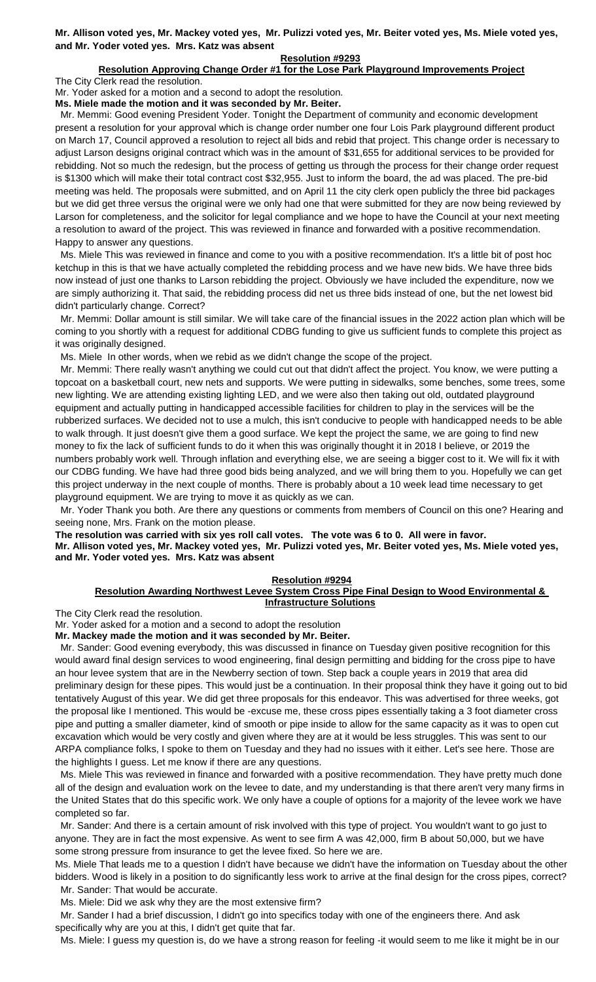**Mr. Allison voted yes, Mr. Mackey voted yes, Mr. Pulizzi voted yes, Mr. Beiter voted yes, Ms. Miele voted yes, and Mr. Yoder voted yes. Mrs. Katz was absent**

#### **Resolution #9293**

# **Resolution Approving Change Order #1 for the Lose Park Playground Improvements Project**

The City Clerk read the resolution.

Mr. Yoder asked for a motion and a second to adopt the resolution.

**Ms. Miele made the motion and it was seconded by Mr. Beiter.**

 Mr. Memmi: Good evening President Yoder. Tonight the Department of community and economic development present a resolution for your approval which is change order number one four Lois Park playground different product on March 17, Council approved a resolution to reject all bids and rebid that project. This change order is necessary to adjust Larson designs original contract which was in the amount of \$31,655 for additional services to be provided for rebidding. Not so much the redesign, but the process of getting us through the process for their change order request is \$1300 which will make their total contract cost \$32,955. Just to inform the board, the ad was placed. The pre-bid meeting was held. The proposals were submitted, and on April 11 the city clerk open publicly the three bid packages but we did get three versus the original were we only had one that were submitted for they are now being reviewed by Larson for completeness, and the solicitor for legal compliance and we hope to have the Council at your next meeting a resolution to award of the project. This was reviewed in finance and forwarded with a positive recommendation. Happy to answer any questions.

 Ms. Miele This was reviewed in finance and come to you with a positive recommendation. It's a little bit of post hoc ketchup in this is that we have actually completed the rebidding process and we have new bids. We have three bids now instead of just one thanks to Larson rebidding the project. Obviously we have included the expenditure, now we are simply authorizing it. That said, the rebidding process did net us three bids instead of one, but the net lowest bid didn't particularly change. Correct?

 Mr. Memmi: Dollar amount is still similar. We will take care of the financial issues in the 2022 action plan which will be coming to you shortly with a request for additional CDBG funding to give us sufficient funds to complete this project as it was originally designed.

Ms. Miele In other words, when we rebid as we didn't change the scope of the project.

 Mr. Memmi: There really wasn't anything we could cut out that didn't affect the project. You know, we were putting a topcoat on a basketball court, new nets and supports. We were putting in sidewalks, some benches, some trees, some new lighting. We are attending existing lighting LED, and we were also then taking out old, outdated playground equipment and actually putting in handicapped accessible facilities for children to play in the services will be the rubberized surfaces. We decided not to use a mulch, this isn't conducive to people with handicapped needs to be able to walk through. It just doesn't give them a good surface. We kept the project the same, we are going to find new money to fix the lack of sufficient funds to do it when this was originally thought it in 2018 I believe, or 2019 the numbers probably work well. Through inflation and everything else, we are seeing a bigger cost to it. We will fix it with our CDBG funding. We have had three good bids being analyzed, and we will bring them to you. Hopefully we can get this project underway in the next couple of months. There is probably about a 10 week lead time necessary to get playground equipment. We are trying to move it as quickly as we can.

 Mr. Yoder Thank you both. Are there any questions or comments from members of Council on this one? Hearing and seeing none, Mrs. Frank on the motion please.

**The resolution was carried with six yes roll call votes. The vote was 6 to 0. All were in favor. Mr. Allison voted yes, Mr. Mackey voted yes, Mr. Pulizzi voted yes, Mr. Beiter voted yes, Ms. Miele voted yes, and Mr. Yoder voted yes. Mrs. Katz was absent**

### **Resolution #9294**

# **Resolution Awarding Northwest Levee System Cross Pipe Final Design to Wood Environmental & Infrastructure Solutions**

The City Clerk read the resolution.

Mr. Yoder asked for a motion and a second to adopt the resolution

**Mr. Mackey made the motion and it was seconded by Mr. Beiter.**

 Mr. Sander: Good evening everybody, this was discussed in finance on Tuesday given positive recognition for this would award final design services to wood engineering, final design permitting and bidding for the cross pipe to have an hour levee system that are in the Newberry section of town. Step back a couple years in 2019 that area did preliminary design for these pipes. This would just be a continuation. In their proposal think they have it going out to bid tentatively August of this year. We did get three proposals for this endeavor. This was advertised for three weeks, got the proposal like I mentioned. This would be -excuse me, these cross pipes essentially taking a 3 foot diameter cross pipe and putting a smaller diameter, kind of smooth or pipe inside to allow for the same capacity as it was to open cut excavation which would be very costly and given where they are at it would be less struggles. This was sent to our ARPA compliance folks, I spoke to them on Tuesday and they had no issues with it either. Let's see here. Those are the highlights I guess. Let me know if there are any questions.

 Ms. Miele This was reviewed in finance and forwarded with a positive recommendation. They have pretty much done all of the design and evaluation work on the levee to date, and my understanding is that there aren't very many firms in the United States that do this specific work. We only have a couple of options for a majority of the levee work we have completed so far.

 Mr. Sander: And there is a certain amount of risk involved with this type of project. You wouldn't want to go just to anyone. They are in fact the most expensive. As went to see firm A was 42,000, firm B about 50,000, but we have some strong pressure from insurance to get the levee fixed. So here we are.

Ms. Miele That leads me to a question I didn't have because we didn't have the information on Tuesday about the other bidders. Wood is likely in a position to do significantly less work to arrive at the final design for the cross pipes, correct? Mr. Sander: That would be accurate.

Ms. Miele: Did we ask why they are the most extensive firm?

 Mr. Sander I had a brief discussion, I didn't go into specifics today with one of the engineers there. And ask specifically why are you at this, I didn't get quite that far.

Ms. Miele: I guess my question is, do we have a strong reason for feeling -it would seem to me like it might be in our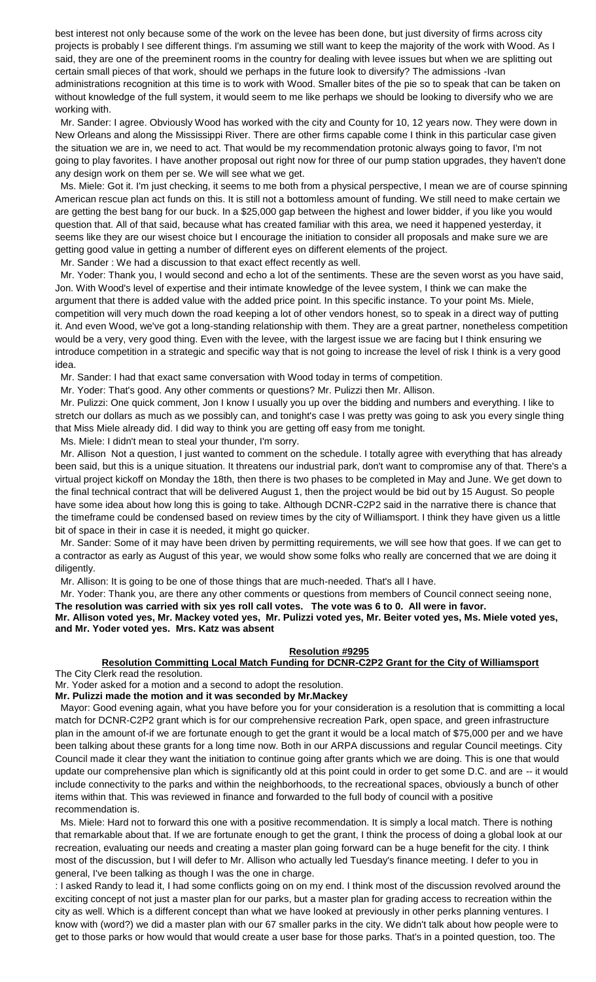best interest not only because some of the work on the levee has been done, but just diversity of firms across city projects is probably I see different things. I'm assuming we still want to keep the majority of the work with Wood. As I said, they are one of the preeminent rooms in the country for dealing with levee issues but when we are splitting out certain small pieces of that work, should we perhaps in the future look to diversify? The admissions -Ivan administrations recognition at this time is to work with Wood. Smaller bites of the pie so to speak that can be taken on without knowledge of the full system, it would seem to me like perhaps we should be looking to diversify who we are working with.

 Mr. Sander: I agree. Obviously Wood has worked with the city and County for 10, 12 years now. They were down in New Orleans and along the Mississippi River. There are other firms capable come I think in this particular case given the situation we are in, we need to act. That would be my recommendation protonic always going to favor, I'm not going to play favorites. I have another proposal out right now for three of our pump station upgrades, they haven't done any design work on them per se. We will see what we get.

 Ms. Miele: Got it. I'm just checking, it seems to me both from a physical perspective, I mean we are of course spinning American rescue plan act funds on this. It is still not a bottomless amount of funding. We still need to make certain we are getting the best bang for our buck. In a \$25,000 gap between the highest and lower bidder, if you like you would question that. All of that said, because what has created familiar with this area, we need it happened yesterday, it seems like they are our wisest choice but I encourage the initiation to consider all proposals and make sure we are getting good value in getting a number of different eyes on different elements of the project.

Mr. Sander : We had a discussion to that exact effect recently as well.

 Mr. Yoder: Thank you, I would second and echo a lot of the sentiments. These are the seven worst as you have said, Jon. With Wood's level of expertise and their intimate knowledge of the levee system, I think we can make the argument that there is added value with the added price point. In this specific instance. To your point Ms. Miele, competition will very much down the road keeping a lot of other vendors honest, so to speak in a direct way of putting it. And even Wood, we've got a long-standing relationship with them. They are a great partner, nonetheless competition would be a very, very good thing. Even with the levee, with the largest issue we are facing but I think ensuring we introduce competition in a strategic and specific way that is not going to increase the level of risk I think is a very good idea.

Mr. Sander: I had that exact same conversation with Wood today in terms of competition.

Mr. Yoder: That's good. Any other comments or questions? Mr. Pulizzi then Mr. Allison.

 Mr. Pulizzi: One quick comment, Jon I know I usually you up over the bidding and numbers and everything. I like to stretch our dollars as much as we possibly can, and tonight's case I was pretty was going to ask you every single thing that Miss Miele already did. I did way to think you are getting off easy from me tonight.

Ms. Miele: I didn't mean to steal your thunder, I'm sorry.

 Mr. Allison Not a question, I just wanted to comment on the schedule. I totally agree with everything that has already been said, but this is a unique situation. It threatens our industrial park, don't want to compromise any of that. There's a virtual project kickoff on Monday the 18th, then there is two phases to be completed in May and June. We get down to the final technical contract that will be delivered August 1, then the project would be bid out by 15 August. So people have some idea about how long this is going to take. Although DCNR-C2P2 said in the narrative there is chance that the timeframe could be condensed based on review times by the city of Williamsport. I think they have given us a little bit of space in their in case it is needed, it might go quicker.

 Mr. Sander: Some of it may have been driven by permitting requirements, we will see how that goes. If we can get to a contractor as early as August of this year, we would show some folks who really are concerned that we are doing it diligently.

Mr. Allison: It is going to be one of those things that are much-needed. That's all I have.

 Mr. Yoder: Thank you, are there any other comments or questions from members of Council connect seeing none, **The resolution was carried with six yes roll call votes. The vote was 6 to 0. All were in favor.**

**Mr. Allison voted yes, Mr. Mackey voted yes, Mr. Pulizzi voted yes, Mr. Beiter voted yes, Ms. Miele voted yes, and Mr. Yoder voted yes. Mrs. Katz was absent**

# **Resolution #9295**

# **Resolution Committing Local Match Funding for DCNR-C2P2 Grant for the City of Williamsport**

The City Clerk read the resolution.

Mr. Yoder asked for a motion and a second to adopt the resolution.

**Mr. Pulizzi made the motion and it was seconded by Mr.Mackey**

 Mayor: Good evening again, what you have before you for your consideration is a resolution that is committing a local match for DCNR-C2P2 grant which is for our comprehensive recreation Park, open space, and green infrastructure plan in the amount of-if we are fortunate enough to get the grant it would be a local match of \$75,000 per and we have been talking about these grants for a long time now. Both in our ARPA discussions and regular Council meetings. City Council made it clear they want the initiation to continue going after grants which we are doing. This is one that would update our comprehensive plan which is significantly old at this point could in order to get some D.C. and are -- it would include connectivity to the parks and within the neighborhoods, to the recreational spaces, obviously a bunch of other items within that. This was reviewed in finance and forwarded to the full body of council with a positive recommendation is.

 Ms. Miele: Hard not to forward this one with a positive recommendation. It is simply a local match. There is nothing that remarkable about that. If we are fortunate enough to get the grant, I think the process of doing a global look at our recreation, evaluating our needs and creating a master plan going forward can be a huge benefit for the city. I think most of the discussion, but I will defer to Mr. Allison who actually led Tuesday's finance meeting. I defer to you in general, I've been talking as though I was the one in charge.

: I asked Randy to lead it, I had some conflicts going on on my end. I think most of the discussion revolved around the exciting concept of not just a master plan for our parks, but a master plan for grading access to recreation within the city as well. Which is a different concept than what we have looked at previously in other perks planning ventures. I know with (word?) we did a master plan with our 67 smaller parks in the city. We didn't talk about how people were to get to those parks or how would that would create a user base for those parks. That's in a pointed question, too. The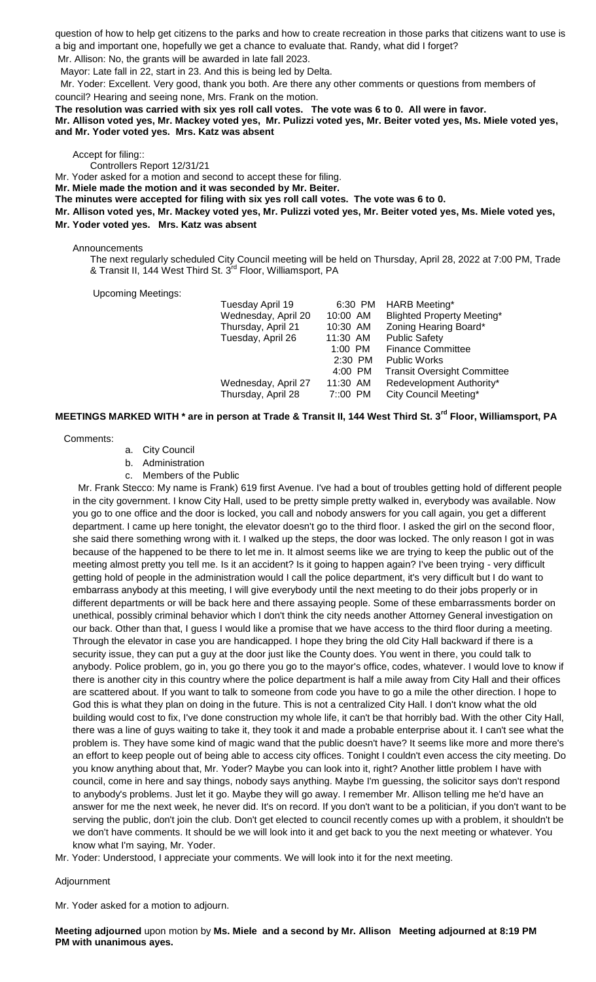question of how to help get citizens to the parks and how to create recreation in those parks that citizens want to use is a big and important one, hopefully we get a chance to evaluate that. Randy, what did I forget?

Mr. Allison: No, the grants will be awarded in late fall 2023.

Mayor: Late fall in 22, start in 23. And this is being led by Delta.

 Mr. Yoder: Excellent. Very good, thank you both. Are there any other comments or questions from members of council? Hearing and seeing none, Mrs. Frank on the motion.

#### **The resolution was carried with six yes roll call votes. The vote was 6 to 0. All were in favor. Mr. Allison voted yes, Mr. Mackey voted yes, Mr. Pulizzi voted yes, Mr. Beiter voted yes, Ms. Miele voted yes, and Mr. Yoder voted yes. Mrs. Katz was absent**

Accept for filing::

Controllers Report 12/31/21

Mr. Yoder asked for a motion and second to accept these for filing.

**Mr. Miele made the motion and it was seconded by Mr. Beiter.**

**The minutes were accepted for filing with six yes roll call votes. The vote was 6 to 0.** 

**Mr. Allison voted yes, Mr. Mackey voted yes, Mr. Pulizzi voted yes, Mr. Beiter voted yes, Ms. Miele voted yes, Mr. Yoder voted yes. Mrs. Katz was absent**

#### Announcements

The next regularly scheduled City Council meeting will be held on Thursday, April 28, 2022 at 7:00 PM, Trade & Transit II, 144 West Third St. 3<sup>rd</sup> Floor, Williamsport, PA

Upcoming Meetings:

| Tuesday April 19<br>Wednesday, April 20 | 6:30 PM<br>10:00 AM | HARB Meeting*<br><b>Blighted Property Meeting*</b> |
|-----------------------------------------|---------------------|----------------------------------------------------|
| Thursday, April 21                      | 10:30 AM            | Zoning Hearing Board*                              |
| Tuesday, April 26                       | 11:30 AM            | <b>Public Safety</b>                               |
|                                         | $1:00$ PM           | <b>Finance Committee</b>                           |
|                                         | $2:30$ PM           | <b>Public Works</b>                                |
|                                         | 4:00 PM             | <b>Transit Oversight Committee</b>                 |
| Wednesday, April 27                     | 11:30 AM            | Redevelopment Authority*                           |
| Thursday, April 28                      | $7:00$ PM           | City Council Meeting*                              |

# **MEETINGS MARKED WITH \* are in person at Trade & Transit II, 144 West Third St. 3rd Floor, Williamsport, PA**

Comments:

- a. City Council
- b. Administration
- c. Members of the Public

 Mr. Frank Stecco: My name is Frank) 619 first Avenue. I've had a bout of troubles getting hold of different people in the city government. I know City Hall, used to be pretty simple pretty walked in, everybody was available. Now you go to one office and the door is locked, you call and nobody answers for you call again, you get a different department. I came up here tonight, the elevator doesn't go to the third floor. I asked the girl on the second floor, she said there something wrong with it. I walked up the steps, the door was locked. The only reason I got in was because of the happened to be there to let me in. It almost seems like we are trying to keep the public out of the meeting almost pretty you tell me. Is it an accident? Is it going to happen again? I've been trying - very difficult getting hold of people in the administration would I call the police department, it's very difficult but I do want to embarrass anybody at this meeting, I will give everybody until the next meeting to do their jobs properly or in different departments or will be back here and there assaying people. Some of these embarrassments border on unethical, possibly criminal behavior which I don't think the city needs another Attorney General investigation on our back. Other than that, I guess I would like a promise that we have access to the third floor during a meeting. Through the elevator in case you are handicapped. I hope they bring the old City Hall backward if there is a security issue, they can put a guy at the door just like the County does. You went in there, you could talk to anybody. Police problem, go in, you go there you go to the mayor's office, codes, whatever. I would love to know if there is another city in this country where the police department is half a mile away from City Hall and their offices are scattered about. If you want to talk to someone from code you have to go a mile the other direction. I hope to God this is what they plan on doing in the future. This is not a centralized City Hall. I don't know what the old building would cost to fix, I've done construction my whole life, it can't be that horribly bad. With the other City Hall, there was a line of guys waiting to take it, they took it and made a probable enterprise about it. I can't see what the problem is. They have some kind of magic wand that the public doesn't have? It seems like more and more there's an effort to keep people out of being able to access city offices. Tonight I couldn't even access the city meeting. Do you know anything about that, Mr. Yoder? Maybe you can look into it, right? Another little problem I have with council, come in here and say things, nobody says anything. Maybe I'm guessing, the solicitor says don't respond to anybody's problems. Just let it go. Maybe they will go away. I remember Mr. Allison telling me he'd have an answer for me the next week, he never did. It's on record. If you don't want to be a politician, if you don't want to be serving the public, don't join the club. Don't get elected to council recently comes up with a problem, it shouldn't be we don't have comments. It should be we will look into it and get back to you the next meeting or whatever. You know what I'm saying, Mr. Yoder.

Mr. Yoder: Understood, I appreciate your comments. We will look into it for the next meeting.

### Adjournment

Mr. Yoder asked for a motion to adjourn.

**Meeting adjourned** upon motion by **Ms. Miele and a second by Mr. Allison Meeting adjourned at 8:19 PM PM with unanimous ayes.**